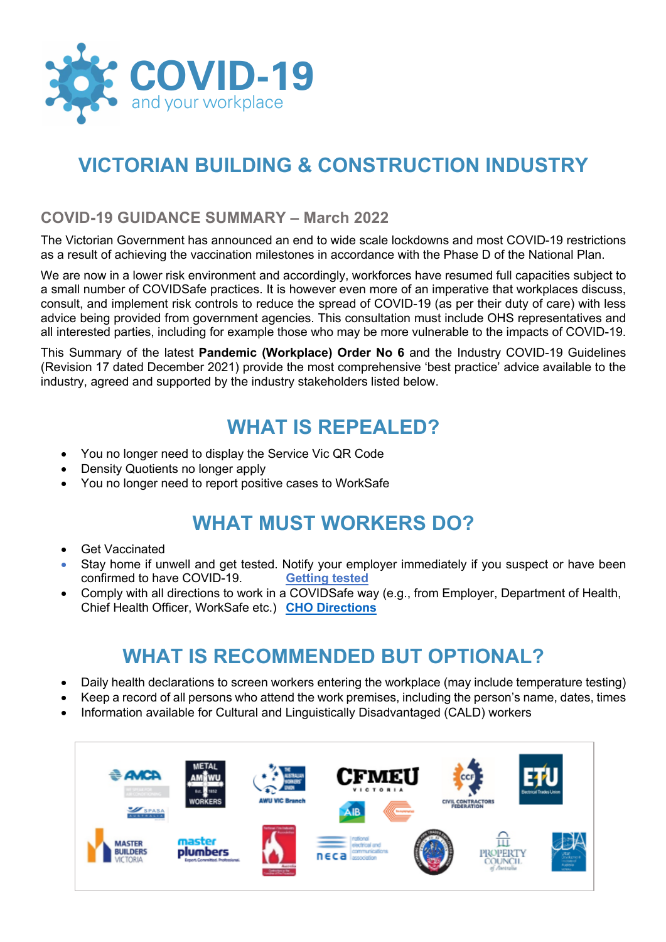

# **VICTORIAN BUILDING & CONSTRUCTION INDUSTRY**

#### **COVID-19 GUIDANCE SUMMARY – March 2022**

The Victorian Government has announced an end to wide scale lockdowns and most COVID-19 restrictions as a result of achieving the vaccination milestones in accordance with the Phase D of the National Plan.

We are now in a lower risk environment and accordingly, workforces have resumed full capacities subject to a small number of COVIDSafe practices. It is however even more of an imperative that workplaces discuss, consult, and implement risk controls to reduce the spread of COVID-19 (as per their duty of care) with less advice being provided from government agencies. This consultation must include OHS representatives and all interested parties, including for example those who may be more vulnerable to the impacts of COVID-19.

This Summary of the latest **Pandemic (Workplace) Order No 6** and the Industry COVID-19 Guidelines (Revision 17 dated December 2021) provide the most comprehensive 'best practice' advice available to the industry, agreed and supported by the industry stakeholders listed below.

### **WHAT IS REPEALED?**

- You no longer need to display the Service Vic QR Code
- Density Quotients no longer apply
- You no longer need to report positive cases to WorkSafe

### **WHAT MUST WORKERS DO?**

- **Get Vaccinated**
- Stay home if unwell and get tested. Notify your employer immediately if you suspect or have been confirmed to have COVID-19. **Getting tested**
- Comply with all directions to work in a COVIDSafe way (e.g., from Employer, Department of Health, Chief Health Officer, WorkSafe etc.) **CHO Directions**

## **WHAT IS RECOMMENDED BUT OPTIONAL?**

- Daily health declarations to screen workers entering the workplace (may include temperature testing)
- Keep a record of all persons who attend the work premises, including the person's name, dates, times
- Information available for Cultural and Linguistically Disadvantaged (CALD) workers